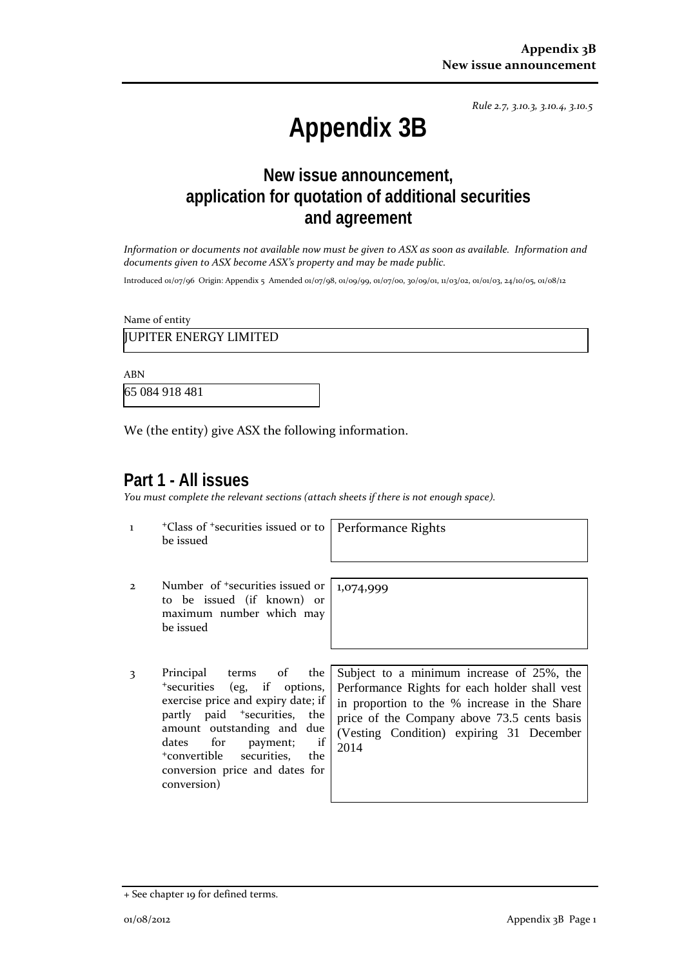*Rule 2.7, 3.10.3, 3.10.4, 3.10.5*

# **Appendix 3B**

## **New issue announcement, application for quotation of additional securities and agreement**

*Information or documents not available now must be given to ASX as soon as available. Information and documents given to ASX become ASX's property and may be made public.*

Introduced 01/07/96 Origin: Appendix 5 Amended 01/07/98, 01/09/99, 01/07/00, 30/09/01, 11/03/02, 01/01/03, 24/10/05, 01/08/12

Name of entity

JUPITER ENERGY LIMITED

ABN

65 084 918 481

We (the entity) give ASX the following information.

#### **Part 1 - All issues**

*You must complete the relevant sections (attach sheets if there is not enough space).*

1 +Class of +securities issued or to be issued

Performance Rights

1,074,999

- 2 Number of +securities issued or to be issued (if known) or maximum number which may be issued
- 3 Principal terms of the +securities (eg, if options, exercise price and expiry date; if partly paid <sup>+</sup>securities, the amount outstanding and due dates for payment; if +convertible securities, the conversion price and dates for conversion)

Subject to a minimum increase of 25%, the Performance Rights for each holder shall vest in proportion to the % increase in the Share price of the Company above 73.5 cents basis (Vesting Condition) expiring 31 December 2014

<sup>+</sup> See chapter 19 for defined terms.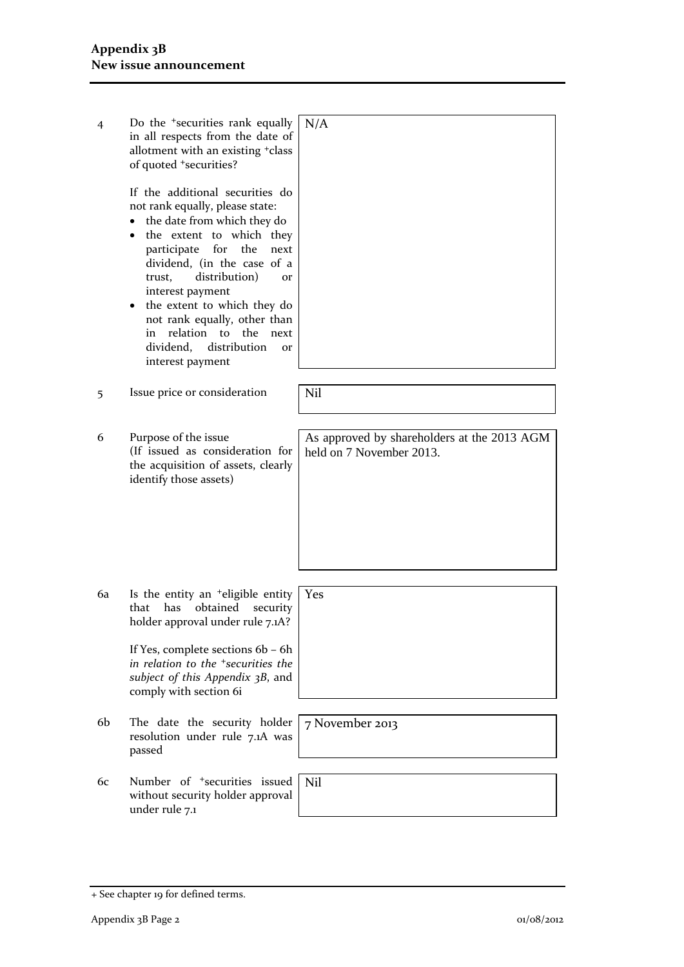| 4  | Do the <sup>+</sup> securities rank equally<br>in all respects from the date of<br>allotment with an existing +class<br>of quoted +securities?<br>If the additional securities do<br>not rank equally, please state:<br>the date from which they do<br>$\bullet$<br>the extent to which they<br>for the<br>participate<br>next<br>dividend, (in the case of a<br>distribution)<br>trust,<br>$\Omega$ r<br>interest payment<br>the extent to which they do<br>not rank equally, other than<br>relation to the<br>next<br>in<br>dividend,<br>distribution<br><b>Or</b><br>interest payment | N/A                                                                     |
|----|------------------------------------------------------------------------------------------------------------------------------------------------------------------------------------------------------------------------------------------------------------------------------------------------------------------------------------------------------------------------------------------------------------------------------------------------------------------------------------------------------------------------------------------------------------------------------------------|-------------------------------------------------------------------------|
| 5  | Issue price or consideration                                                                                                                                                                                                                                                                                                                                                                                                                                                                                                                                                             | Nil                                                                     |
| 6  | Purpose of the issue<br>(If issued as consideration for<br>the acquisition of assets, clearly<br>identify those assets)                                                                                                                                                                                                                                                                                                                                                                                                                                                                  | As approved by shareholders at the 2013 AGM<br>held on 7 November 2013. |
| 6a | Is the entity an <sup>+</sup> eligible entity<br>that has<br>obtained<br>security<br>holder approval under rule 7.1A?<br>If Yes, complete sections 6b - 6h<br>in relation to the <sup>+</sup> securities the<br>subject of this Appendix 3B, and<br>comply with section 6i                                                                                                                                                                                                                                                                                                               | Yes                                                                     |
| 6b | The date the security holder<br>resolution under rule 7.1A was<br>passed                                                                                                                                                                                                                                                                                                                                                                                                                                                                                                                 | 7 November 2013                                                         |
| 6с | Number of <sup>+</sup> securities issued<br>without security holder approval<br>under rule 7.1                                                                                                                                                                                                                                                                                                                                                                                                                                                                                           | Nil                                                                     |
|    |                                                                                                                                                                                                                                                                                                                                                                                                                                                                                                                                                                                          |                                                                         |

<sup>+</sup> See chapter 19 for defined terms.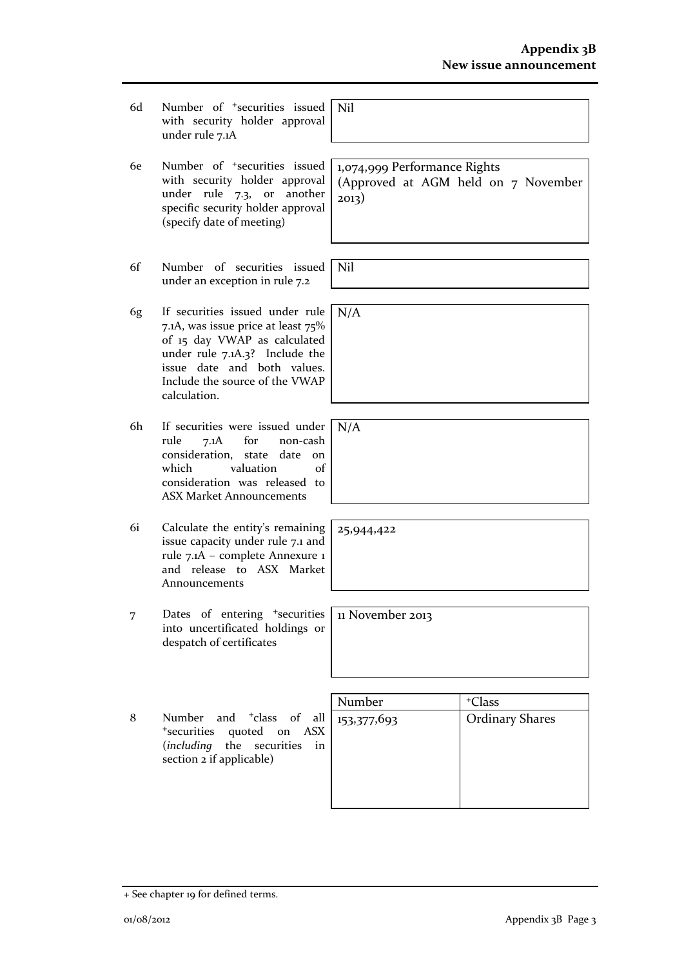- 6d Number of +securities issued with security holder approval under rule 7.1A
- 6e Number of +securities issued with security holder approval under rule 7.3, or another specific security holder approval (specify date of meeting)
- 6f Number of securities issued under an exception in rule 7.2
- 6g If securities issued under rule 7.1A, was issue price at least 75% of 15 day VWAP as calculated under rule 7.1A.3? Include the issue date and both values. Include the source of the VWAP calculation.
- 6h If securities were issued under rule 7.1A for non-cash consideration, state date on which valuation of consideration was released to ASX Market Announcements
- 6i Calculate the entity's remaining issue capacity under rule 7.1 and rule 7.1A – complete Annexure 1 and release to ASX Market Announcements
- 7 Dates of entering <sup>+</sup>securities into uncertificated holdings or despatch of certificates
- 8 Number and <sup>+</sup>class of all <sup>+</sup>securities quoted on ASX (*including* the securities in section 2 if applicable)

| Number      | <sup>+</sup> Class     |
|-------------|------------------------|
| 153,377,693 | <b>Ordinary Shares</b> |
|             |                        |
|             |                        |
|             |                        |
|             |                        |

1,074,999 Performance Rights (Approved at AGM held on 7 November 2013)

Nil

N/A

Nil

N/A

25,944,422

11 November 2013

+ See chapter 19 for defined terms.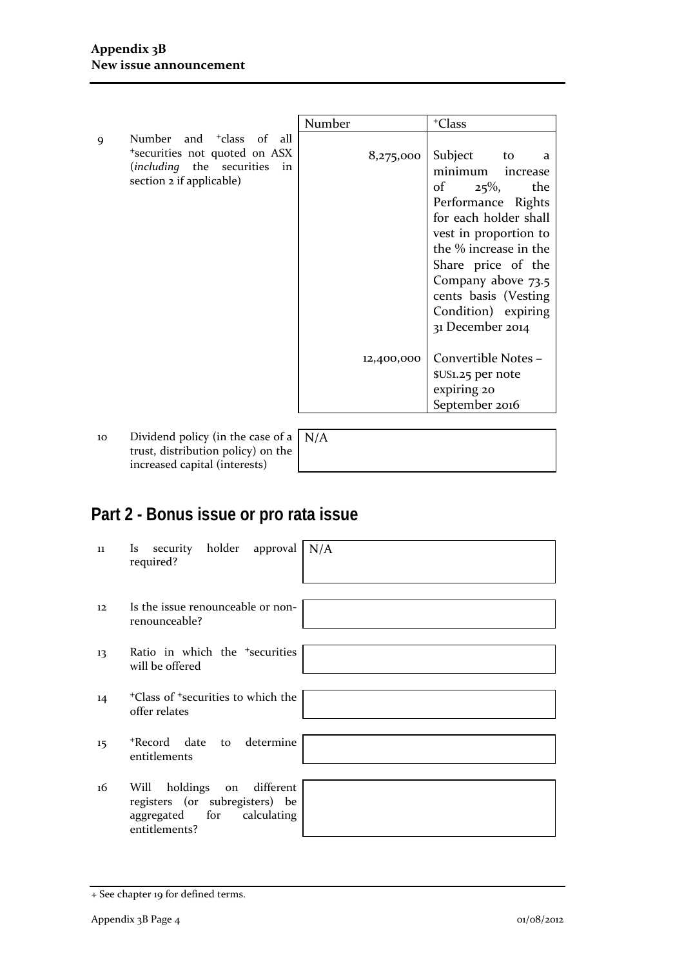|   |                                                                                                                                      | Number     | <sup>+</sup> Class                                                                                                                                                                                                                                                                   |
|---|--------------------------------------------------------------------------------------------------------------------------------------|------------|--------------------------------------------------------------------------------------------------------------------------------------------------------------------------------------------------------------------------------------------------------------------------------------|
| 9 | Number and <sup>+</sup> class of all<br>*securities not quoted on ASX<br>(including the securities<br>in<br>section 2 if applicable) | 8,275,000  | Subject<br>to<br>- a<br>minimum<br>increase<br>$25\%,$<br>of<br>the<br>Performance Rights<br>for each holder shall<br>vest in proportion to<br>the % increase in the<br>Share price of the<br>Company above 73.5<br>cents basis (Vesting)<br>Condition) expiring<br>31 December 2014 |
|   |                                                                                                                                      | 12,400,000 | Convertible Notes -<br>\$US1.25 per note<br>expiring 20<br>September 2016                                                                                                                                                                                                            |
|   |                                                                                                                                      |            |                                                                                                                                                                                                                                                                                      |

10 Dividend policy (in the case of a N/A trust, distribution policy) on the increased capital (interests)

# **Part 2 - Bonus issue or pro rata issue**

| 11  | security holder approval<br>N/A<br>Is.<br>required?                                                               |
|-----|-------------------------------------------------------------------------------------------------------------------|
|     |                                                                                                                   |
| 12. | Is the issue renounceable or non-<br>renounceable?                                                                |
|     |                                                                                                                   |
| 13  | Ratio in which the <sup>+</sup> securities<br>will be offered                                                     |
|     |                                                                                                                   |
| 14  | <sup>+</sup> Class of <sup>+</sup> securities to which the<br>offer relates                                       |
|     |                                                                                                                   |
| 15  | *Record date to determine<br>entitlements                                                                         |
|     |                                                                                                                   |
| 16  | different<br>holdings on<br>Will<br>registers (or subregisters) be<br>aggregated for calculating<br>entitlements? |

<sup>+</sup> See chapter 19 for defined terms.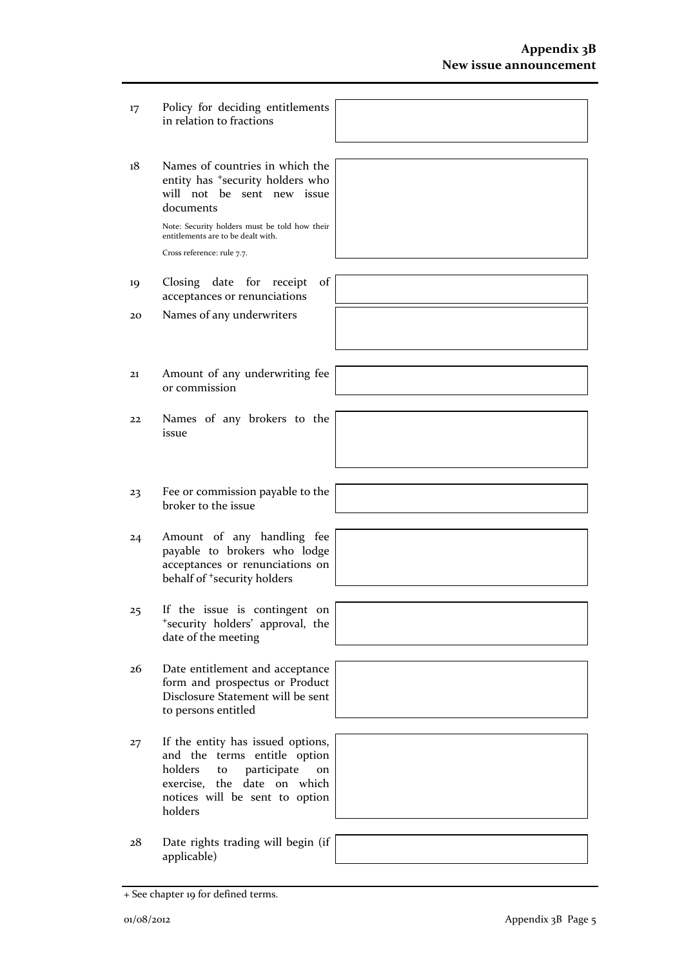- 17 Policy for deciding entitlements in relation to fractions
- 18 Names of countries in which the entity has <sup>+</sup>security holders who will not be sent new issue documents

Note: Security holders must be told how their entitlements are to be dealt with. Cross reference: rule 7.7.

- 19 Closing date for receipt of acceptances or renunciations
- 20 Names of any underwriters



- 21 Amount of any underwriting fee or commission
- 22 Names of any brokers to the issue
- 23 Fee or commission payable to the broker to the issue
- 24 Amount of any handling fee payable to brokers who lodge acceptances or renunciations on behalf of <sup>+</sup>security holders
- 25 If the issue is contingent on <sup>+</sup>security holders' approval, the date of the meeting
- 26 Date entitlement and acceptance form and prospectus or Product Disclosure Statement will be sent to persons entitled
- 27 If the entity has issued options, and the terms entitle option holders to participate on exercise, the date on which notices will be sent to option holders
- 28 Date rights trading will begin (if applicable)



+ See chapter 19 for defined terms.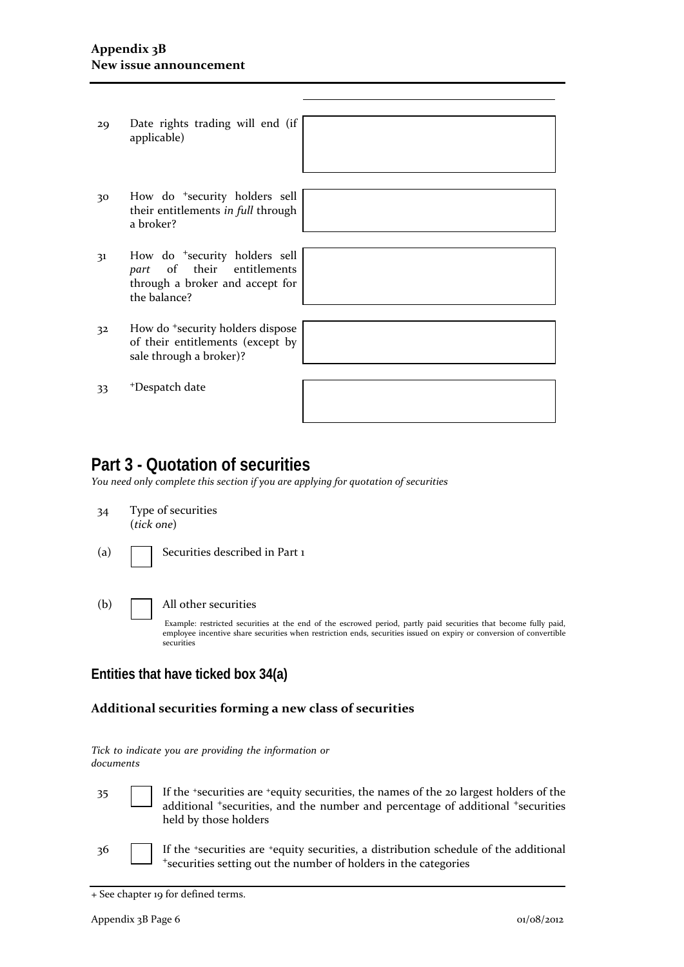- 29 Date rights trading will end (if applicable)
- 30 How do <sup>+</sup>security holders sell their entitlements *in full* through a broker?
- 31 How do <sup>+</sup>security holders sell *part* of their entitlements through a broker and accept for the balance?
- 32 How do <sup>+</sup>security holders dispose of their entitlements (except sale through a broker)?

33 <sup>+</sup>Despatch date

| by |  |  |  |
|----|--|--|--|
|    |  |  |  |
|    |  |  |  |
|    |  |  |  |

### **Part 3 - Quotation of securities**

*You need only complete this section if you are applying for quotation of securities*

- 34 Type of securities (*tick one*)
- (a) **Securities described in Part 1**

(b) All other securities Example: restricted securities at the end of the escrowed period, partly paid securities that become fully paid, employee incentive share securities when restriction ends, securities issued on expiry or conversion of convertible

#### **Entities that have ticked box 34(a)**

securities

#### **Additional securities forming a new class of securities**

*Tick to indicate you are providing the information or documents*

- 35 If the <sup>+</sup>securities are <sup>+</sup>equity securities, the names of the 20 largest holders of the additional <sup>+</sup>securities, and the number and percentage of additional <sup>+</sup>securities held by those holders
- 36 If the <sup>+</sup>securities are <sup>+</sup>equity securities, a distribution schedule of the additional <sup>+</sup>securities setting out the number of holders in the categories

<sup>+</sup> See chapter 19 for defined terms.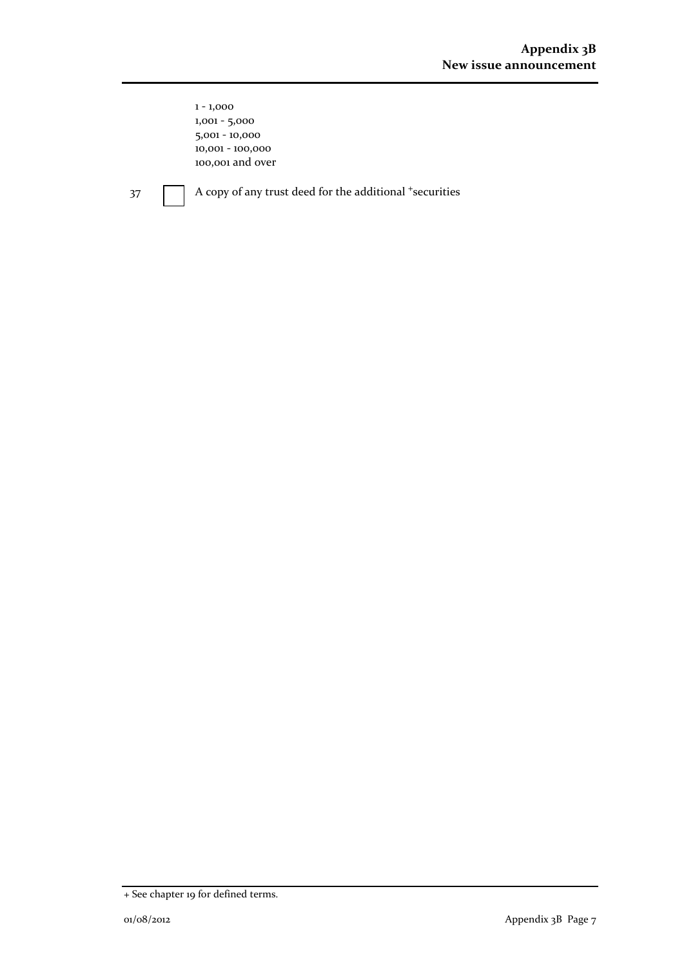1 - 1,000 1,001 - 5,000 5,001 - 10,000 10,001 - 100,000 100,001 and over

37 A copy of any trust deed for the additional <sup>+</sup>securities

<sup>+</sup> See chapter 19 for defined terms.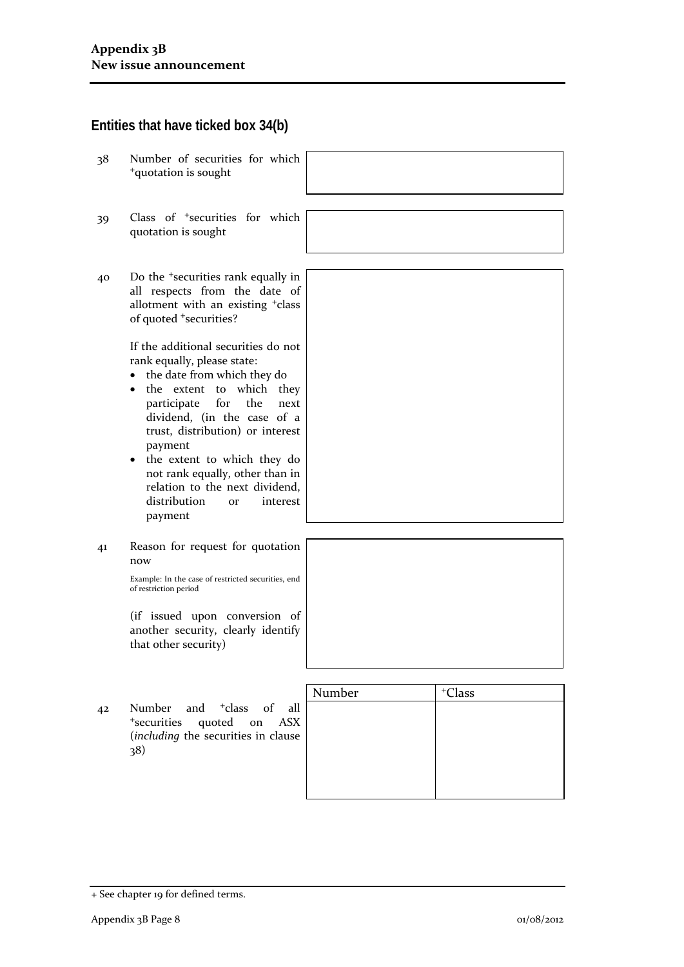#### **Entities that have ticked box 34(b)**

- 38 Number of securities for which <sup>+</sup>quotation is sought
- 39 Class of <sup>+</sup>securities for which quotation is sought
- 40 Do the <sup>+</sup>securities rank equally in all respects from the date of allotment with an existing <sup>+</sup>class of quoted <sup>+</sup>securities?

If the additional securities do not rank equally, please state:

- the date from which they do
- the extent to which they participate for the next dividend, (in the case of a trust, distribution) or interest payment
- the extent to which they do not rank equally, other than in relation to the next dividend, distribution or interest payment
- 41 Reason for request for quotation now

Example: In the case of restricted securities, end of restriction period

(if issued upon conversion of another security, clearly identify that other security)

42 Number and <sup>+</sup>class of all <sup>+</sup>securities quoted on ASX (*including* the securities in clause 38)

| Number | <sup>+</sup> Class |
|--------|--------------------|
|        |                    |
|        |                    |
|        |                    |
|        |                    |
|        |                    |
|        |                    |

<sup>+</sup> See chapter 19 for defined terms.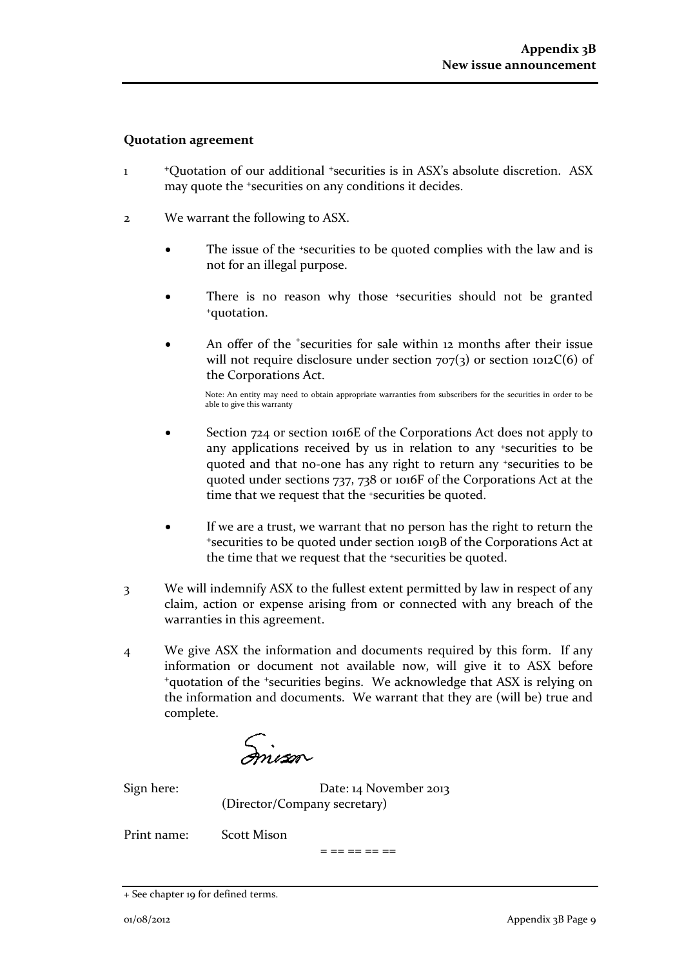#### **Quotation agreement**

- 1 <sup>+</sup>Quotation of our additional +securities is in ASX's absolute discretion. ASX may quote the +securities on any conditions it decides.
- 2 We warrant the following to ASX.
	- The issue of the +securities to be quoted complies with the law and is not for an illegal purpose.
	- There is no reason why those <sup>+</sup>securities should not be granted <sup>+</sup>quotation.
	- An offer of the <sup>+</sup>securities for sale within 12 months after their issue will not require disclosure under section  $707(3)$  or section  $1012C(6)$  of the Corporations Act.

Note: An entity may need to obtain appropriate warranties from subscribers for the securities in order to be able to give this warranty

- Section 724 or section 1016E of the Corporations Act does not apply to any applications received by us in relation to any +securities to be quoted and that no-one has any right to return any +securities to be quoted under sections 737, 738 or 1016F of the Corporations Act at the time that we request that the <sup>+</sup>securities be quoted.
- If we are a trust, we warrant that no person has the right to return the <sup>+</sup>securities to be quoted under section 1019B of the Corporations Act at the time that we request that the +securities be quoted.
- 3 We will indemnify ASX to the fullest extent permitted by law in respect of any claim, action or expense arising from or connected with any breach of the warranties in this agreement.
- 4 We give ASX the information and documents required by this form. If any information or document not available now, will give it to ASX before <sup>+</sup>quotation of the +securities begins. We acknowledge that ASX is relying on the information and documents. We warrant that they are (will be) true and complete.

mison

Sign here: Date: 14 November 2013 (Director/Company secretary)

Print name: Scott Mison

 $=$   $=$   $=$   $=$   $=$   $=$ 

<sup>+</sup> See chapter 19 for defined terms.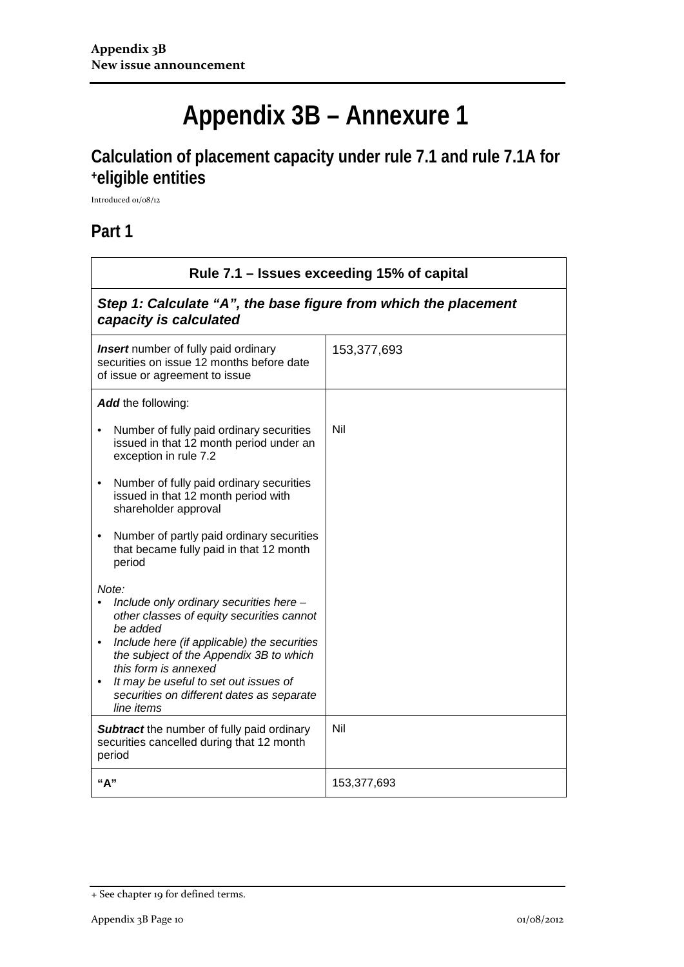# **Appendix 3B – Annexure 1**

# **Calculation of placement capacity under rule 7.1 and rule 7.1A for +eligible entities**

Introduced 01/08/12

### **Part 1**

| Rule 7.1 – Issues exceeding 15% of capital                                                                                                                                                                                                                                                                                                   |             |  |
|----------------------------------------------------------------------------------------------------------------------------------------------------------------------------------------------------------------------------------------------------------------------------------------------------------------------------------------------|-------------|--|
| Step 1: Calculate "A", the base figure from which the placement<br>capacity is calculated                                                                                                                                                                                                                                                    |             |  |
| <b>Insert</b> number of fully paid ordinary<br>securities on issue 12 months before date<br>of issue or agreement to issue                                                                                                                                                                                                                   | 153,377,693 |  |
| Add the following:                                                                                                                                                                                                                                                                                                                           |             |  |
| Number of fully paid ordinary securities<br>issued in that 12 month period under an<br>exception in rule 7.2                                                                                                                                                                                                                                 | Nil         |  |
| Number of fully paid ordinary securities<br>$\bullet$<br>issued in that 12 month period with<br>shareholder approval                                                                                                                                                                                                                         |             |  |
| Number of partly paid ordinary securities<br>$\bullet$<br>that became fully paid in that 12 month<br>period                                                                                                                                                                                                                                  |             |  |
| Note:<br>Include only ordinary securities here -<br>other classes of equity securities cannot<br>be added<br>Include here (if applicable) the securities<br>$\bullet$<br>the subject of the Appendix 3B to which<br>this form is annexed<br>It may be useful to set out issues of<br>securities on different dates as separate<br>line items |             |  |
| <b>Subtract</b> the number of fully paid ordinary<br>securities cancelled during that 12 month<br>period                                                                                                                                                                                                                                     | Nil         |  |
| "A"                                                                                                                                                                                                                                                                                                                                          | 153,377,693 |  |

<sup>+</sup> See chapter 19 for defined terms.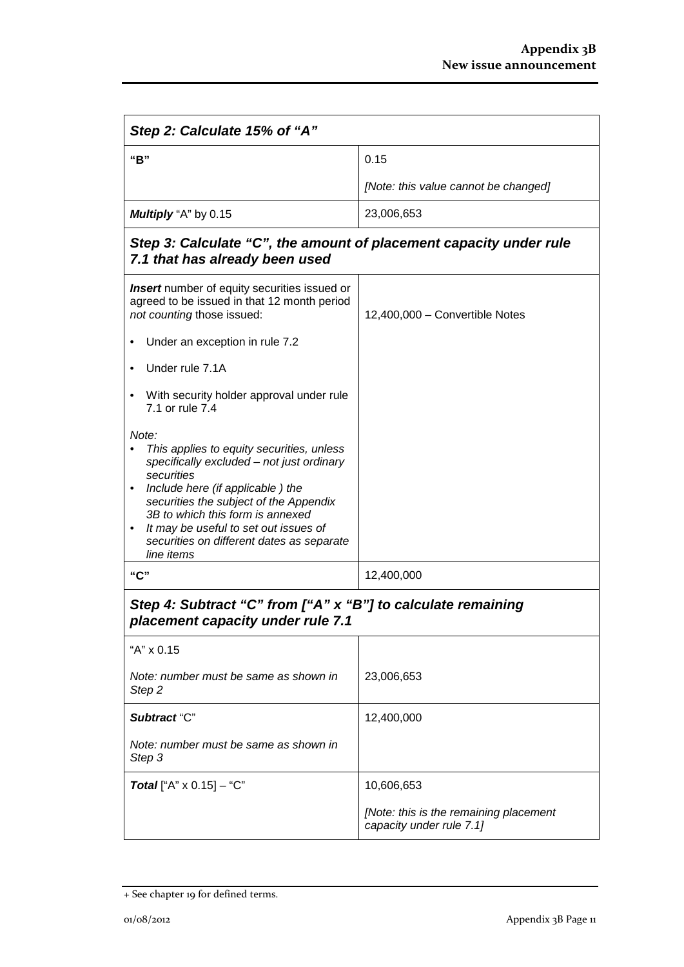| Step 2: Calculate 15% of "A"                                                                                                                                                                                                                                                                                                                          |                                                                    |  |
|-------------------------------------------------------------------------------------------------------------------------------------------------------------------------------------------------------------------------------------------------------------------------------------------------------------------------------------------------------|--------------------------------------------------------------------|--|
| "B"                                                                                                                                                                                                                                                                                                                                                   | 0.15                                                               |  |
|                                                                                                                                                                                                                                                                                                                                                       | [Note: this value cannot be changed]                               |  |
| Multiply "A" by 0.15                                                                                                                                                                                                                                                                                                                                  | 23,006,653                                                         |  |
| Step 3: Calculate "C", the amount of placement capacity under rule<br>7.1 that has already been used                                                                                                                                                                                                                                                  |                                                                    |  |
| <b>Insert</b> number of equity securities issued or<br>agreed to be issued in that 12 month period<br>not counting those issued:                                                                                                                                                                                                                      | 12,400,000 - Convertible Notes                                     |  |
| Under an exception in rule 7.2                                                                                                                                                                                                                                                                                                                        |                                                                    |  |
| Under rule 7.1A                                                                                                                                                                                                                                                                                                                                       |                                                                    |  |
| With security holder approval under rule<br>7.1 or rule 7.4                                                                                                                                                                                                                                                                                           |                                                                    |  |
| Note:<br>This applies to equity securities, unless<br>specifically excluded - not just ordinary<br>securities<br>Include here (if applicable) the<br>$\bullet$<br>securities the subject of the Appendix<br>3B to which this form is annexed<br>It may be useful to set out issues of<br>٠<br>securities on different dates as separate<br>line items |                                                                    |  |
| "C"                                                                                                                                                                                                                                                                                                                                                   | 12,400,000                                                         |  |
| Step 4: Subtract "C" from ["A" x "B"] to calculate remaining<br>placement capacity under rule 7.1                                                                                                                                                                                                                                                     |                                                                    |  |
| "A" x 0.15                                                                                                                                                                                                                                                                                                                                            |                                                                    |  |
| Note: number must be same as shown in<br>Step 2                                                                                                                                                                                                                                                                                                       | 23,006,653                                                         |  |
| Subtract "C"                                                                                                                                                                                                                                                                                                                                          | 12,400,000                                                         |  |
| Note: number must be same as shown in<br>Step 3                                                                                                                                                                                                                                                                                                       |                                                                    |  |
| <b>Total</b> ["A" $\times$ 0.15] – "C"                                                                                                                                                                                                                                                                                                                | 10,606,653                                                         |  |
|                                                                                                                                                                                                                                                                                                                                                       | [Note: this is the remaining placement<br>capacity under rule 7.1] |  |

<sup>+</sup> See chapter 19 for defined terms.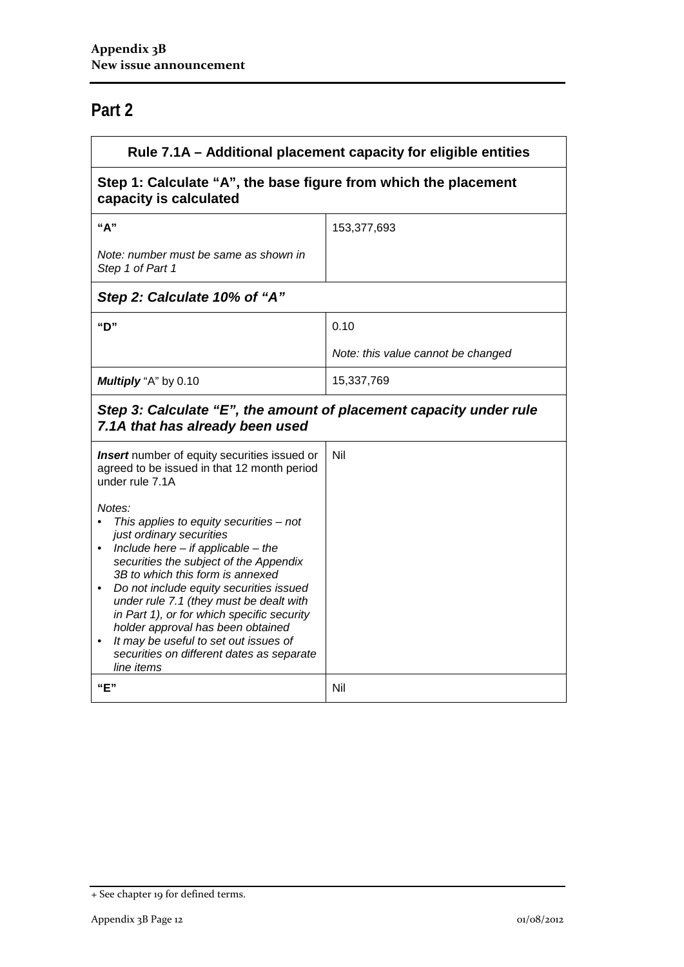## **Part 2**

| Rule 7.1A – Additional placement capacity for eligible entities                                                                                                                                                                                                                                                                                                                                                                                                                                          |                                    |  |
|----------------------------------------------------------------------------------------------------------------------------------------------------------------------------------------------------------------------------------------------------------------------------------------------------------------------------------------------------------------------------------------------------------------------------------------------------------------------------------------------------------|------------------------------------|--|
| Step 1: Calculate "A", the base figure from which the placement<br>capacity is calculated                                                                                                                                                                                                                                                                                                                                                                                                                |                                    |  |
| "А"                                                                                                                                                                                                                                                                                                                                                                                                                                                                                                      | 153,377,693                        |  |
| Note: number must be same as shown in<br>Step 1 of Part 1                                                                                                                                                                                                                                                                                                                                                                                                                                                |                                    |  |
| Step 2: Calculate 10% of "A"                                                                                                                                                                                                                                                                                                                                                                                                                                                                             |                                    |  |
| "D"                                                                                                                                                                                                                                                                                                                                                                                                                                                                                                      | 0.10                               |  |
|                                                                                                                                                                                                                                                                                                                                                                                                                                                                                                          | Note: this value cannot be changed |  |
| Multiply "A" by 0.10                                                                                                                                                                                                                                                                                                                                                                                                                                                                                     | 15,337,769                         |  |
| Step 3: Calculate "E", the amount of placement capacity under rule<br>7.1A that has already been used                                                                                                                                                                                                                                                                                                                                                                                                    |                                    |  |
| <b>Insert</b> number of equity securities issued or<br>agreed to be issued in that 12 month period<br>under rule 7.1A                                                                                                                                                                                                                                                                                                                                                                                    | Nil                                |  |
| Notes:<br>This applies to equity securities $-$ not<br>just ordinary securities<br>• Include here $-$ if applicable $-$ the<br>securities the subject of the Appendix<br>3B to which this form is annexed<br>Do not include equity securities issued<br>$\bullet$<br>under rule 7.1 (they must be dealt with<br>in Part 1), or for which specific security<br>holder approval has been obtained<br>It may be useful to set out issues of<br>٠<br>securities on different dates as separate<br>line items |                                    |  |
| "E"                                                                                                                                                                                                                                                                                                                                                                                                                                                                                                      | Nil                                |  |

<sup>+</sup> See chapter 19 for defined terms.